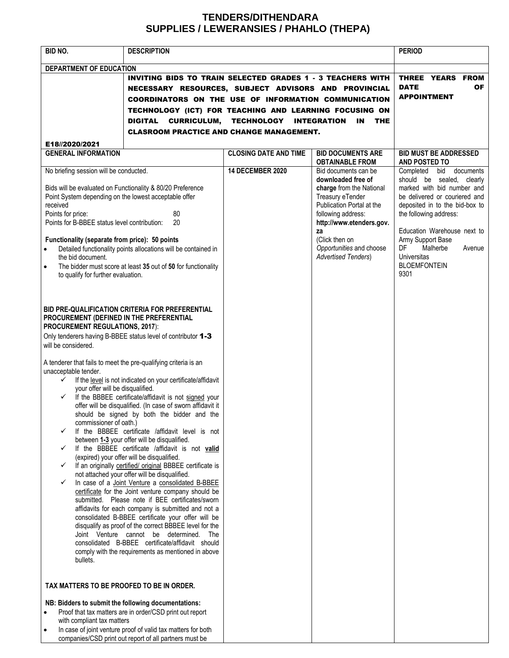## **TENDERS/DITHENDARA SUPPLIES / LEWERANSIES / PHAHLO (THEPA)**

| BID NO.                                                                                                                                                                                                                                                                                                                                                                                                                                                                                                                                                                                                                                                                                                                                                                                                                                                                                                                                                                                                                                                                                                                                                                                                                                                                                                                                                                                                                                                | <b>DESCRIPTION</b>                                                                                                                                                                                                                                                                                                                              |                                                                    |                                                                                                                                                                                                                                                                                       | <b>PERIOD</b>                                                                                                                                                                                                                                                                                                                             |
|--------------------------------------------------------------------------------------------------------------------------------------------------------------------------------------------------------------------------------------------------------------------------------------------------------------------------------------------------------------------------------------------------------------------------------------------------------------------------------------------------------------------------------------------------------------------------------------------------------------------------------------------------------------------------------------------------------------------------------------------------------------------------------------------------------------------------------------------------------------------------------------------------------------------------------------------------------------------------------------------------------------------------------------------------------------------------------------------------------------------------------------------------------------------------------------------------------------------------------------------------------------------------------------------------------------------------------------------------------------------------------------------------------------------------------------------------------|-------------------------------------------------------------------------------------------------------------------------------------------------------------------------------------------------------------------------------------------------------------------------------------------------------------------------------------------------|--------------------------------------------------------------------|---------------------------------------------------------------------------------------------------------------------------------------------------------------------------------------------------------------------------------------------------------------------------------------|-------------------------------------------------------------------------------------------------------------------------------------------------------------------------------------------------------------------------------------------------------------------------------------------------------------------------------------------|
| DEPARTMENT OF EDUCATION                                                                                                                                                                                                                                                                                                                                                                                                                                                                                                                                                                                                                                                                                                                                                                                                                                                                                                                                                                                                                                                                                                                                                                                                                                                                                                                                                                                                                                | <b>INVITING BIDS TO TRAIN SELECTED GRADES 1 - 3 TEACHERS WITH</b><br>NECESSARY RESOURCES, SUBJECT ADVISORS AND PROVINCIAL<br>COORDINATORS ON THE USE OF INFORMATION COMMUNICATION<br>TECHNOLOGY (ICT) FOR TEACHING AND LEARNING FOCUSING ON<br>CURRICULUM, TECHNOLOGY INTEGRATION<br>DIGITAL<br><b>CLASROOM PRACTICE AND CHANGE MANAGEMENT.</b> | THREE YEARS FROM<br><b>DATE</b><br><b>OF</b><br><b>APPOINTMENT</b> |                                                                                                                                                                                                                                                                                       |                                                                                                                                                                                                                                                                                                                                           |
| E18//2020/2021<br><b>GENERAL INFORMATION</b>                                                                                                                                                                                                                                                                                                                                                                                                                                                                                                                                                                                                                                                                                                                                                                                                                                                                                                                                                                                                                                                                                                                                                                                                                                                                                                                                                                                                           |                                                                                                                                                                                                                                                                                                                                                 | <b>CLOSING DATE AND TIME</b>                                       | <b>BID DOCUMENTS ARE</b>                                                                                                                                                                                                                                                              | <b>BID MUST BE ADDRESSED</b>                                                                                                                                                                                                                                                                                                              |
| No briefing session will be conducted.<br>Bids will be evaluated on Functionality & 80/20 Preference<br>Point System depending on the lowest acceptable offer<br>received<br>80<br>Points for price:<br>Points for B-BBEE status level contribution:<br>20<br>Functionality (separate from price): 50 points<br>Detailed functionality points allocations will be contained in<br>$\bullet$<br>the bid document.<br>The bidder must score at least 35 out of 50 for functionality<br>$\bullet$                                                                                                                                                                                                                                                                                                                                                                                                                                                                                                                                                                                                                                                                                                                                                                                                                                                                                                                                                         |                                                                                                                                                                                                                                                                                                                                                 | <b>14 DECEMBER 2020</b>                                            | <b>OBTAINABLE FROM</b><br>Bid documents can be<br>downloaded free of<br>charge from the National<br>Treasury eTender<br>Publication Portal at the<br>following address:<br>http://www.etenders.gov.<br>za<br>(Click then on<br>Opportunities and choose<br><b>Advertised Tenders)</b> | AND POSTED TO<br>bid documents<br>Completed<br>should be sealed, clearly<br>marked with bid number and<br>be delivered or couriered and<br>deposited in to the bid-box to<br>the following address:<br>Education Warehouse next to<br>Army Support Base<br>DF.<br>Malherbe<br>Avenue<br><b>Universitas</b><br><b>BLOEMFONTEIN</b><br>9301 |
| to qualify for further evaluation.<br>BID PRE-QUALIFICATION CRITERIA FOR PREFERENTIAL<br>PROCUREMENT (DEFINED IN THE PREFERENTIAL<br><b>PROCUREMENT REGULATIONS, 2017):</b><br>Only tenderers having B-BBEE status level of contributor 1-3<br>will be considered.<br>A tenderer that fails to meet the pre-qualifying criteria is an<br>unacceptable tender.<br>If the level is not indicated on your certificate/affidavit<br>✓<br>your offer will be disqualified.<br>If the BBBEE certificate/affidavit is not signed your<br>✓<br>offer will be disqualified. (In case of sworn affidavit it<br>should be signed by both the bidder and the<br>commissioner of oath.)<br>If the BBBEE certificate /affidavit level is not<br>✓<br>between 1-3 your offer will be disqualified.<br>If the BBBEE certificate /affidavit is not valid<br>✓<br>(expired) your offer will be disqualified.<br>If an originally certified/ original BBBEE certificate is<br>✓<br>not attached your offer will be disqualified.<br>✓<br>In case of a Joint Venture a consolidated B-BBEE<br>certificate for the Joint venture company should be<br>submitted. Please note if BEE certificates/sworn<br>affidavits for each company is submitted and not a<br>consolidated B-BBEE certificate your offer will be<br>disqualify as proof of the correct BBBEE level for the<br>Joint Venture cannot be determined. The<br>consolidated B-BBEE certificate/affidavit should |                                                                                                                                                                                                                                                                                                                                                 |                                                                    |                                                                                                                                                                                                                                                                                       |                                                                                                                                                                                                                                                                                                                                           |
| bullets.<br>TAX MATTERS TO BE PROOFED TO BE IN ORDER.<br>NB: Bidders to submit the following documentations:<br>Proof that tax matters are in order/CSD print out report<br>$\bullet$<br>with compliant tax matters<br>In case of joint venture proof of valid tax matters for both<br>٠<br>companies/CSD print out report of all partners must be                                                                                                                                                                                                                                                                                                                                                                                                                                                                                                                                                                                                                                                                                                                                                                                                                                                                                                                                                                                                                                                                                                     |                                                                                                                                                                                                                                                                                                                                                 |                                                                    |                                                                                                                                                                                                                                                                                       |                                                                                                                                                                                                                                                                                                                                           |